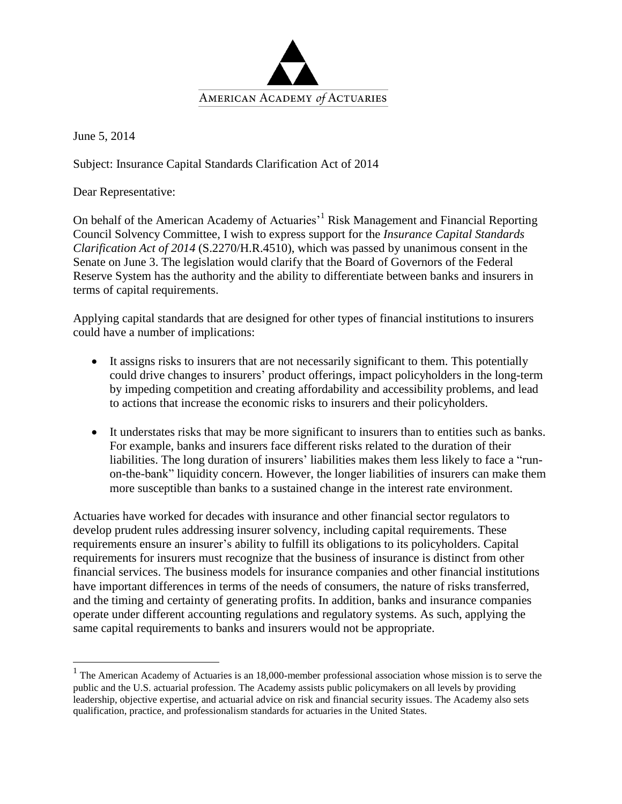

June 5, 2014

 $\overline{a}$ 

Subject: Insurance Capital Standards Clarification Act of 2014

Dear Representative:

On behalf of the American Academy of Actuaries<sup>1</sup> Risk Management and Financial Reporting Council Solvency Committee, I wish to express support for the *Insurance Capital Standards Clarification Act of 2014* (S.2270/H.R.4510), which was passed by unanimous consent in the Senate on June 3. The legislation would clarify that the Board of Governors of the Federal Reserve System has the authority and the ability to differentiate between banks and insurers in terms of capital requirements.

Applying capital standards that are designed for other types of financial institutions to insurers could have a number of implications:

- It assigns risks to insurers that are not necessarily significant to them. This potentially could drive changes to insurers' product offerings, impact policyholders in the long-term by impeding competition and creating affordability and accessibility problems, and lead to actions that increase the economic risks to insurers and their policyholders.
- It understates risks that may be more significant to insurers than to entities such as banks. For example, banks and insurers face different risks related to the duration of their liabilities. The long duration of insurers' liabilities makes them less likely to face a "runon-the-bank" liquidity concern. However, the longer liabilities of insurers can make them more susceptible than banks to a sustained change in the interest rate environment.

Actuaries have worked for decades with insurance and other financial sector regulators to develop prudent rules addressing insurer solvency, including capital requirements. These requirements ensure an insurer's ability to fulfill its obligations to its policyholders. Capital requirements for insurers must recognize that the business of insurance is distinct from other financial services. The business models for insurance companies and other financial institutions have important differences in terms of the needs of consumers, the nature of risks transferred, and the timing and certainty of generating profits. In addition, banks and insurance companies operate under different accounting regulations and regulatory systems. As such, applying the same capital requirements to banks and insurers would not be appropriate.

 $<sup>1</sup>$  The American Academy of Actuaries is an 18,000-member professional association whose mission is to serve the</sup> public and the U.S. actuarial profession. The Academy assists public policymakers on all levels by providing leadership, objective expertise, and actuarial advice on risk and financial security issues. The Academy also sets qualification, practice, and professionalism standards for actuaries in the United States.